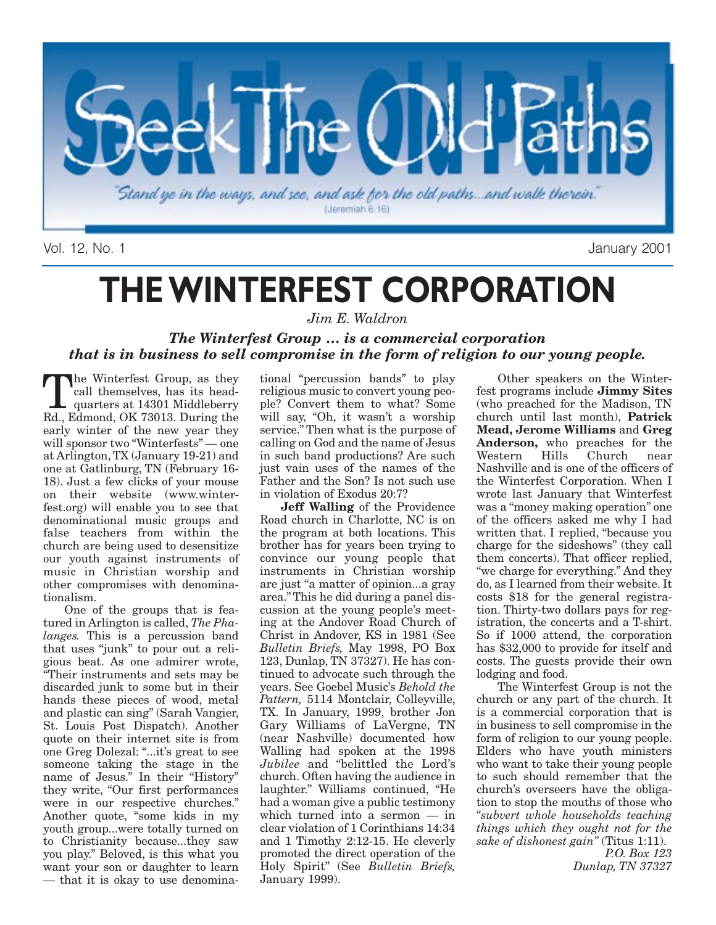

Vol. 12, No. 1 January 2001

# **THE WINTERFEST CORPORATION**

*Jim E. Waldron*

### *The Winterfest Group … is a commercial corporation that is in business to sell compromise in the form of religion to our young people.*

The Winterfest Group, as they<br>call themselves, has its head-<br>quarters at 14301 Middleberry<br>Rd Edmond OK 73013 During the call themselves, has its head-Rd., Edmond, OK 73013. During the early winter of the new year they will sponsor two "Winterfests" — one at Arlington, TX (January 19-21) and one at Gatlinburg, TN (February 16- 18). Just a few clicks of your mouse on their website (www.winterfest.org) will enable you to see that denominational music groups and false teachers from within the church are being used to desensitize our youth against instruments of music in Christian worship and other compromises with denominationalism.

One of the groups that is featured in Arlington is called, *The Phalanges.* This is a percussion band that uses "junk" to pour out a religious beat. As one admirer wrote, "Their instruments and sets may be discarded junk to some but in their hands these pieces of wood, metal and plastic can sing" (Sarah Vangier, St. Louis Post Dispatch). Another quote on their internet site is from one Greg Dolezal: "...it's great to see someone taking the stage in the name of Jesus." In their "History" they write, "Our first performances were in our respective churches." Another quote, "some kids in my youth group...were totally turned on to Christianity because...they saw you play." Beloved, is this what you want your son or daughter to learn — that it is okay to use denomina-

tional "percussion bands" to play religious music to convert young people? Convert them to what? Some will say, "Oh, it wasn't a worship service." Then what is the purpose of calling on God and the name of Jesus in such band productions? Are such just vain uses of the names of the Father and the Son? Is not such use in violation of Exodus 20:7?

**Jeff Walling** of the Providence Road church in Charlotte, NC is on the program at both locations. This brother has for years been trying to convince our young people that instruments in Christian worship are just "a matter of opinion...a gray area." This he did during a panel discussion at the young people's meeting at the Andover Road Church of Christ in Andover, KS in 1981 (See *Bulletin Briefs,* May 1998, PO Box 123, Dunlap, TN 37327). He has continued to advocate such through the years. See Goebel Music's *Behold the Pattern,* 5114 Montclair, Colleyville, TX. In January, 1999, brother Jon Gary Williams of LaVergne, TN (near Nashville) documented how Walling had spoken at the 1998 *Jubilee* and "belittled the Lord's church. Often having the audience in laughter." Williams continued, "He had a woman give a public testimony which turned into a sermon — in clear violation of 1 Corinthians 14:34 and 1 Timothy 2:12-15. He cleverly promoted the direct operation of the Holy Spirit" (See *Bulletin Briefs,* January 1999).

Other speakers on the Winterfest programs include **Jimmy Sites** (who preached for the Madison, TN church until last month), **Patrick Mead, Jerome Williams** and **Greg** Anderson, who preaches for the Western Hills Church near Church near Nashville and is one of the officers of the Winterfest Corporation. When I wrote last January that Winterfest was a "money making operation" one of the officers asked me why I had written that. I replied, "because you charge for the sideshows" (they call them concerts). That officer replied, "we charge for everything." And they do, as I learned from their website. It costs \$18 for the general registration. Thirty-two dollars pays for registration, the concerts and a T-shirt. So if 1000 attend, the corporation has \$32,000 to provide for itself and costs. The guests provide their own lodging and food.

The Winterfest Group is not the church or any part of the church. It is a commercial corporation that is in business to sell compromise in the form of religion to our young people. Elders who have youth ministers who want to take their young people to such should remember that the church's overseers have the obligation to stop the mouths of those who *"subvert whole households teaching things which they ought not for the sake of dishonest gain"* (Titus 1:11).

*P.O. Box 123 Dunlap, TN 37327*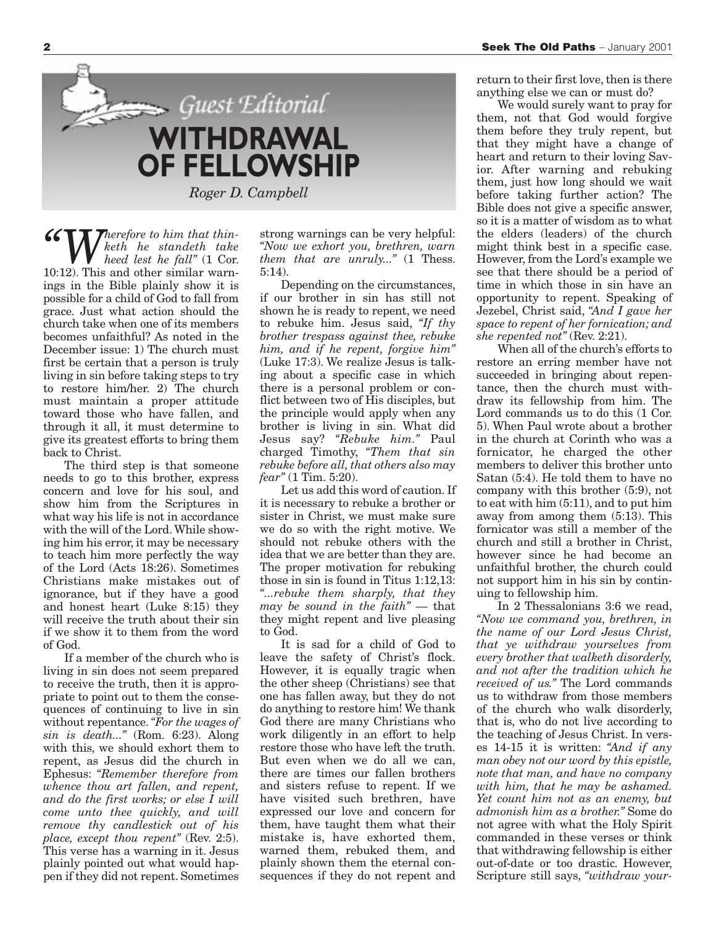

*"Wherefore to him that thinketh he standeth take heed lest he fall"* (1 Cor. 10:12). This and other similar warnings in the Bible plainly show it is possible for a child of God to fall from grace. Just what action should the church take when one of its members becomes unfaithful? As noted in the December issue: 1) The church must first be certain that a person is truly living in sin before taking steps to try to restore him/her. 2) The church must maintain a proper attitude toward those who have fallen, and through it all, it must determine to give its greatest efforts to bring them back to Christ.

The third step is that someone needs to go to this brother, express concern and love for his soul, and show him from the Scriptures in what way his life is not in accordance with the will of the Lord. While showing him his error, it may be necessary to teach him more perfectly the way of the Lord (Acts 18:26). Sometimes Christians make mistakes out of ignorance, but if they have a good and honest heart (Luke 8:15) they will receive the truth about their sin if we show it to them from the word of God.

If a member of the church who is living in sin does not seem prepared to receive the truth, then it is appropriate to point out to them the consequences of continuing to live in sin without repentance.*"For the wages of sin is death..."* (Rom. 6:23). Along with this, we should exhort them to repent, as Jesus did the church in Ephesus: *"Remember therefore from whence thou art fallen, and repent, and do the first works; or else I will come unto thee quickly, and will remove thy candlestick out of his place, except thou repent"* (Rev. 2:5). This verse has a warning in it. Jesus plainly pointed out what would happen if they did not repent. Sometimes

strong warnings can be very helpful: *"Now we exhort you, brethren, warn them that are unruly..."* (1 Thess. 5:14).

Depending on the circumstances, if our brother in sin has still not shown he is ready to repent, we need to rebuke him. Jesus said, *"If thy brother trespass against thee, rebuke him, and if he repent, forgive him"* (Luke 17:3). We realize Jesus is talking about a specific case in which there is a personal problem or conflict between two of His disciples, but the principle would apply when any brother is living in sin. What did Jesus say? *"Rebuke him."* Paul charged Timothy, *"Them that sin rebuke before all, that others also may fear"* (1 Tim. 5:20).

Let us add this word of caution. If it is necessary to rebuke a brother or sister in Christ, we must make sure we do so with the right motive. We should not rebuke others with the idea that we are better than they are. The proper motivation for rebuking those in sin is found in Titus 1:12,13: *"...rebuke them sharply, that they may be sound in the faith"* — that they might repent and live pleasing to God.

It is sad for a child of God to leave the safety of Christ's flock. However, it is equally tragic when the other sheep (Christians) see that one has fallen away, but they do not do anything to restore him! We thank God there are many Christians who work diligently in an effort to help restore those who have left the truth. But even when we do all we can, there are times our fallen brothers and sisters refuse to repent. If we have visited such brethren, have expressed our love and concern for them, have taught them what their mistake is, have exhorted them, warned them, rebuked them, and plainly shown them the eternal consequences if they do not repent and

return to their first love, then is there anything else we can or must do?

We would surely want to pray for them, not that God would forgive them before they truly repent, but that they might have a change of heart and return to their loving Savior. After warning and rebuking them, just how long should we wait before taking further action? The Bible does not give a specific answer, so it is a matter of wisdom as to what the elders (leaders) of the church might think best in a specific case. However, from the Lord's example we see that there should be a period of time in which those in sin have an opportunity to repent. Speaking of Jezebel, Christ said, *"And I gave her space to repent of her fornication; and she repented not"* (Rev. 2:21).

When all of the church's efforts to restore an erring member have not succeeded in bringing about repentance, then the church must withdraw its fellowship from him. The Lord commands us to do this (1 Cor. 5). When Paul wrote about a brother in the church at Corinth who was a fornicator, he charged the other members to deliver this brother unto Satan (5:4). He told them to have no company with this brother (5:9), not to eat with him (5:11), and to put him away from among them (5:13). This fornicator was still a member of the church and still a brother in Christ, however since he had become an unfaithful brother, the church could not support him in his sin by continuing to fellowship him.

In 2 Thessalonians 3:6 we read, *"Now we command you, brethren, in the name of our Lord Jesus Christ, that ye withdraw yourselves from every brother that walketh disorderly, and not after the tradition which he received of us."* The Lord commands us to withdraw from those members of the church who walk disorderly, that is, who do not live according to the teaching of Jesus Christ. In verses 14-15 it is written: *"And if any man obey not our word by this epistle, note that man, and have no company with him, that he may be ashamed. Yet count him not as an enemy, but admonish him as a brother."* Some do not agree with what the Holy Spirit commanded in these verses or think that withdrawing fellowship is either out-of-date or too drastic. However, Scripture still says, *"withdraw your-*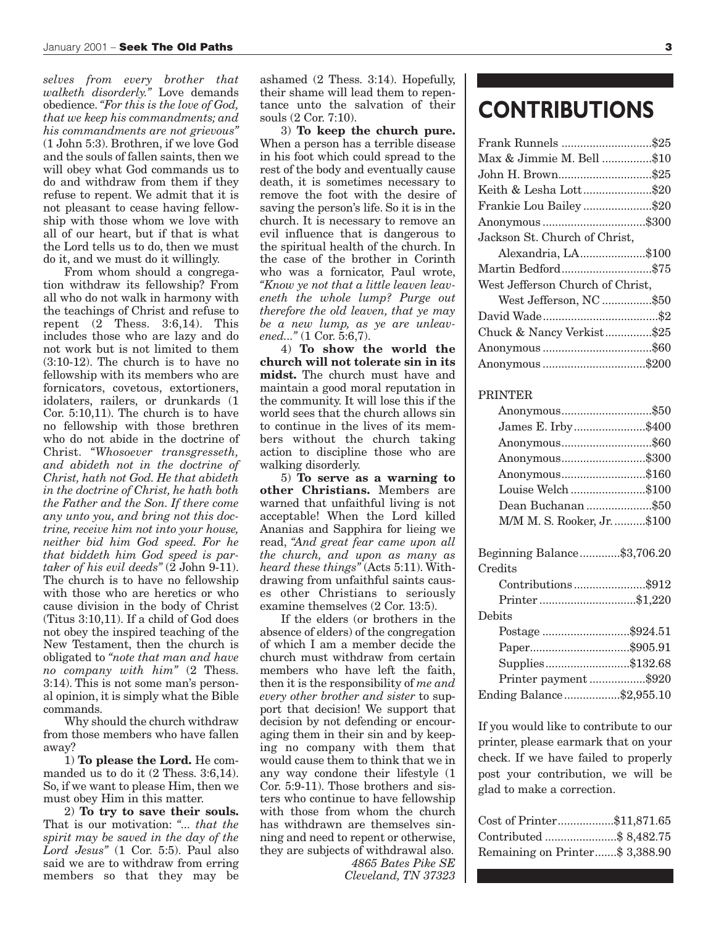*selves from every brother that walketh disorderly."* Love demands obedience.*"For this is the love of God, that we keep his commandments; and his commandments are not grievous"* (1 John 5:3). Brothren, if we love God and the souls of fallen saints, then we will obey what God commands us to do and withdraw from them if they refuse to repent. We admit that it is not pleasant to cease having fellowship with those whom we love with all of our heart, but if that is what the Lord tells us to do, then we must do it, and we must do it willingly.

From whom should a congregation withdraw its fellowship? From all who do not walk in harmony with the teachings of Christ and refuse to repent (2 Thess. 3:6,14). This includes those who are lazy and do not work but is not limited to them (3:10-12). The church is to have no fellowship with its members who are fornicators, covetous, extortioners, idolaters, railers, or drunkards (1 Cor. 5:10,11). The church is to have no fellowship with those brethren who do not abide in the doctrine of Christ. *"Whosoever transgresseth, and abideth not in the doctrine of Christ, hath not God. He that abideth in the doctrine of Christ, he hath both the Father and the Son. If there come any unto you, and bring not this doctrine, receive him not into your house, neither bid him God speed. For he that biddeth him God speed is partaker of his evil deeds"* (2 John 9-11). The church is to have no fellowship with those who are heretics or who cause division in the body of Christ (Titus 3:10,11). If a child of God does not obey the inspired teaching of the New Testament, then the church is obligated to *"note that man and have no company with him"* (2 Thess. 3:14). This is not some man's personal opinion, it is simply what the Bible commands.

Why should the church withdraw from those members who have fallen away?

1) **To please the Lord.** He commanded us to do it (2 Thess. 3:6,14). So, if we want to please Him, then we must obey Him in this matter.

2) **To try to save their souls.** That is our motivation: *"... that the spirit may be saved in the day of the Lord Jesus"* (1 Cor. 5:5). Paul also said we are to withdraw from erring members so that they may be ashamed (2 Thess. 3:14). Hopefully, their shame will lead them to repentance unto the salvation of their souls (2 Cor. 7:10).

3) **To keep the church pure.** When a person has a terrible disease in his foot which could spread to the rest of the body and eventually cause death, it is sometimes necessary to remove the foot with the desire of saving the person's life. So it is in the church. It is necessary to remove an evil influence that is dangerous to the spiritual health of the church. In the case of the brother in Corinth who was a fornicator, Paul wrote, *"Know ye not that a little leaven leaveneth the whole lump? Purge out therefore the old leaven, that ye may be a new lump, as ye are unleavened..."* (1 Cor. 5:6,7).

4) **To show the world the church will not tolerate sin in its midst.** The church must have and maintain a good moral reputation in the community. It will lose this if the world sees that the church allows sin to continue in the lives of its members without the church taking action to discipline those who are walking disorderly.

5) **To serve as a warning to other Christians.** Members are warned that unfaithful living is not acceptable! When the Lord killed Ananias and Sapphira for lieing we read, *"And great fear came upon all the church, and upon as many as heard these things"* (Acts 5:11). Withdrawing from unfaithful saints causes other Christians to seriously examine themselves (2 Cor. 13:5).

If the elders (or brothers in the absence of elders) of the congregation of which I am a member decide the church must withdraw from certain members who have left the faith, then it is the responsibility of *me and every other brother and sister* to support that decision! We support that decision by not defending or encouraging them in their sin and by keeping no company with them that would cause them to think that we in any way condone their lifestyle (1 Cor. 5:9-11). Those brothers and sisters who continue to have fellowship with those from whom the church has withdrawn are themselves sinning and need to repent or otherwise, they are subjects of withdrawal also.

> *4865 Bates Pike SE Cleveland, TN 37323*

### **CONTRIBUTIONS**

| Frank Runnels \$25               |  |
|----------------------------------|--|
| Max & Jimmie M. Bell \$10        |  |
| John H. Brown\$25                |  |
| Keith & Lesha Lott\$20           |  |
| Frankie Lou Bailey \$20          |  |
| Anonymous \$300                  |  |
| Jackson St. Church of Christ,    |  |
| Alexandria, LA\$100              |  |
| Martin Bedford\$75               |  |
| West Jefferson Church of Christ, |  |
| West Jefferson, NC\$50           |  |
|                                  |  |
| Chuck & Nancy Verkist\$25        |  |
|                                  |  |
| Anonymous \$200                  |  |
|                                  |  |

#### PRINTER

| Anonymous\$50               |  |
|-----------------------------|--|
| James E. Irby\$400          |  |
| Anonymous\$60               |  |
| Anonymous\$300              |  |
| Anonymous\$160              |  |
| Louise Welch \$100          |  |
| Dean Buchanan \$50          |  |
| M/M M. S. Rooker, Jr. \$100 |  |
|                             |  |

| Beginning Balance\$3,706.20 |  |
|-----------------------------|--|
| Credits                     |  |
| Contributions\$912          |  |
|                             |  |
| Debits                      |  |
| Postage \$924.51            |  |
|                             |  |
| Supplies\$132.68            |  |
| Printer payment\$920        |  |
| Ending Balance\$2,955.10    |  |

If you would like to contribute to our printer, please earmark that on your check. If we have failed to properly post your contribution, we will be glad to make a correction.

| Cost of Printer\$11,871.65      |  |
|---------------------------------|--|
| Contributed \$ 8,482.75         |  |
| Remaining on Printer\$ 3,388.90 |  |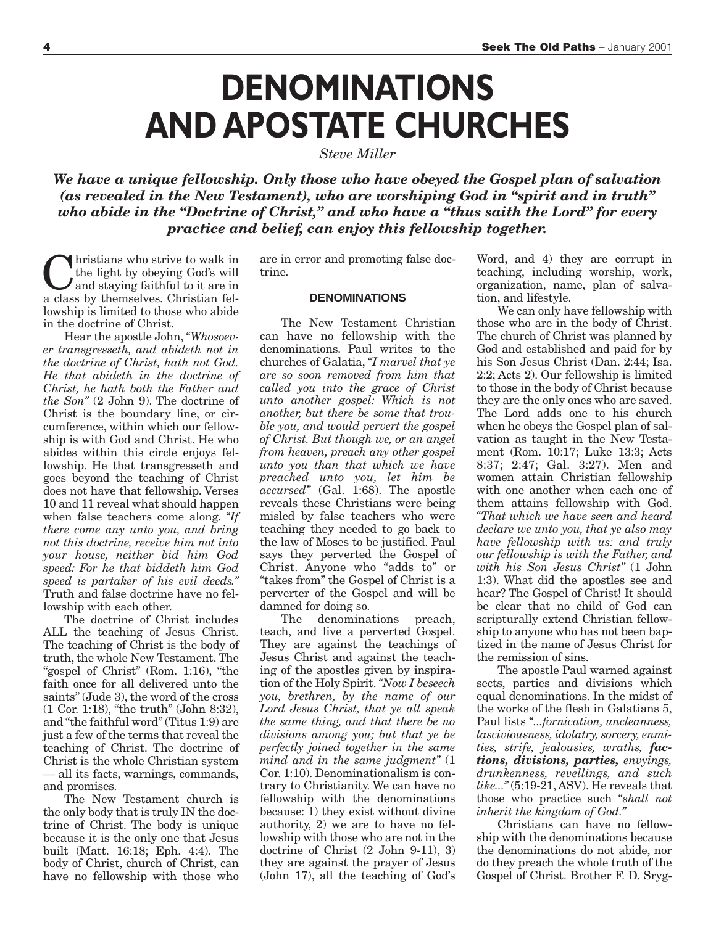## **DENOMINATIONS AND APOSTATE CHURCHES**

*Steve Miller*

*We have a unique fellowship. Only those who have obeyed the Gospel plan of salvation (as revealed in the New Testament), who are worshiping God in "spirit and in truth" who abide in the "Doctrine of Christ," and who have a "thus saith the Lord" for every practice and belief, can enjoy this fellowship together.*

**C**hristians who strive to walk in<br>the light by obeying God's will<br>and staying faithful to it are in<br>a class by themselves Christian felthe light by obeying God's will a class by themselves. Christian fellowship is limited to those who abide in the doctrine of Christ.

Hear the apostle John, *"Whosoever transgresseth, and abideth not in the doctrine of Christ, hath not God. He that abideth in the doctrine of Christ, he hath both the Father and the Son"* (2 John 9). The doctrine of Christ is the boundary line, or circumference, within which our fellowship is with God and Christ. He who abides within this circle enjoys fellowship. He that transgresseth and goes beyond the teaching of Christ does not have that fellowship. Verses 10 and 11 reveal what should happen when false teachers come along. *"If there come any unto you, and bring not this doctrine, receive him not into your house, neither bid him God speed: For he that biddeth him God speed is partaker of his evil deeds."* Truth and false doctrine have no fellowship with each other.

The doctrine of Christ includes ALL the teaching of Jesus Christ. The teaching of Christ is the body of truth, the whole New Testament. The "gospel of Christ" (Rom. 1:16), "the faith once for all delivered unto the saints" (Jude 3), the word of the cross (1 Cor. 1:18), "the truth" (John 8:32), and "the faithful word" (Titus 1:9) are just a few of the terms that reveal the teaching of Christ. The doctrine of Christ is the whole Christian system — all its facts, warnings, commands, and promises.

The New Testament church is the only body that is truly IN the doctrine of Christ. The body is unique because it is the only one that Jesus built (Matt. 16:18; Eph. 4:4). The body of Christ, church of Christ, can have no fellowship with those who are in error and promoting false doctrine.

#### **DENOMINATIONS**

The New Testament Christian can have no fellowship with the denominations. Paul writes to the churches of Galatia, *"I marvel that ye are so soon removed from him that called you into the grace of Christ unto another gospel: Which is not another, but there be some that trouble you, and would pervert the gospel of Christ. But though we, or an angel from heaven, preach any other gospel unto you than that which we have preached unto you, let him be accursed"* (Gal. 1:68). The apostle reveals these Christians were being misled by false teachers who were teaching they needed to go back to the law of Moses to be justified. Paul says they perverted the Gospel of Christ. Anyone who "adds to" or "takes from" the Gospel of Christ is a perverter of the Gospel and will be damned for doing so.

The denominations preach, teach, and live a perverted Gospel. They are against the teachings of Jesus Christ and against the teaching of the apostles given by inspiration of the Holy Spirit.*"Now I beseech you, brethren, by the name of our Lord Jesus Christ, that ye all speak the same thing, and that there be no divisions among you; but that ye be perfectly joined together in the same mind and in the same judgment"* (1 Cor. 1:10). Denominationalism is contrary to Christianity. We can have no fellowship with the denominations because: 1) they exist without divine authority, 2) we are to have no fellowship with those who are not in the doctrine of Christ (2 John 9-11), 3) they are against the prayer of Jesus (John 17), all the teaching of God's

Word, and 4) they are corrupt in teaching, including worship, work, organization, name, plan of salvation, and lifestyle.

We can only have fellowship with those who are in the body of Christ. The church of Christ was planned by God and established and paid for by his Son Jesus Christ (Dan. 2:44; Isa. 2:2; Acts 2). Our fellowship is limited to those in the body of Christ because they are the only ones who are saved. The Lord adds one to his church when he obeys the Gospel plan of salvation as taught in the New Testament (Rom. 10:17; Luke 13:3; Acts 8:37; 2:47; Gal. 3:27). Men and women attain Christian fellowship with one another when each one of them attains fellowship with God. *"That which we have seen and heard declare we unto you, that ye also may have fellowship with us: and truly our fellowship is with the Father, and with his Son Jesus Christ"* (1 John 1:3). What did the apostles see and hear? The Gospel of Christ! It should be clear that no child of God can scripturally extend Christian fellowship to anyone who has not been baptized in the name of Jesus Christ for the remission of sins.

The apostle Paul warned against sects, parties and divisions which equal denominations. In the midst of the works of the flesh in Galatians 5, Paul lists *"...fornication, uncleanness, lasciviousness, idolatry, sorcery, enmities, strife, jealousies, wraths, factions, divisions, parties, envyings, drunkenness, revellings, and such like..."*(5:19-21, ASV). He reveals that those who practice such *"shall not inherit the kingdom of God."*

Christians can have no fellowship with the denominations because the denominations do not abide, nor do they preach the whole truth of the Gospel of Christ. Brother F. D. Sryg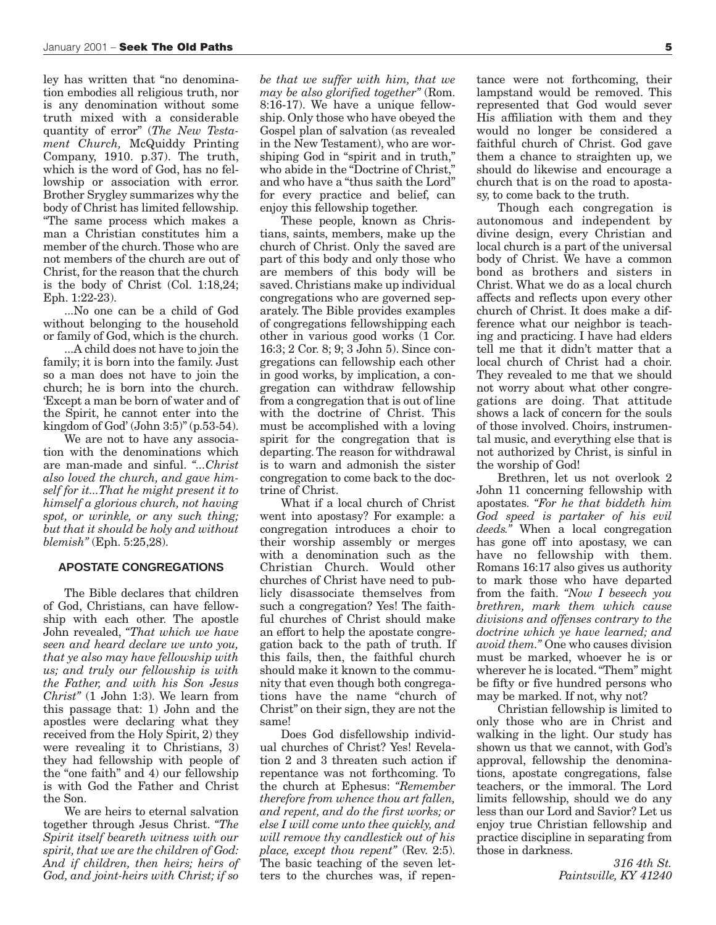ley has written that "no denomination embodies all religious truth, nor is any denomination without some truth mixed with a considerable quantity of error" (*The New Testament Church,* McQuiddy Printing Company, 1910. p.37). The truth, which is the word of God, has no fellowship or association with error. Brother Srygley summarizes why the body of Christ has limited fellowship. "The same process which makes a man a Christian constitutes him a member of the church. Those who are not members of the church are out of Christ, for the reason that the church is the body of Christ (Col. 1:18,24; Eph. 1:22-23).

...No one can be a child of God without belonging to the household or family of God, which is the church.

...A child does not have to join the family; it is born into the family. Just so a man does not have to join the church; he is born into the church. 'Except a man be born of water and of the Spirit, he cannot enter into the kingdom of God' (John 3:5)" (p.53-54).

We are not to have any association with the denominations which are man-made and sinful. *"...Christ also loved the church, and gave himself for it...That he might present it to himself a glorious church, not having spot, or wrinkle, or any such thing; but that it should be holy and without blemish"* (Eph. 5:25,28).

#### **APOSTATE CONGREGATIONS**

The Bible declares that children of God, Christians, can have fellowship with each other. The apostle John revealed, *"That which we have seen and heard declare we unto you, that ye also may have fellowship with us; and truly our fellowship is with the Father, and with his Son Jesus Christ"* (1 John 1:3). We learn from this passage that: 1) John and the apostles were declaring what they received from the Holy Spirit, 2) they were revealing it to Christians, 3) they had fellowship with people of the "one faith" and 4) our fellowship is with God the Father and Christ the Son.

We are heirs to eternal salvation together through Jesus Christ. *"The Spirit itself beareth witness with our spirit, that we are the children of God: And if children, then heirs; heirs of God, and joint-heirs with Christ; if so* *be that we suffer with him, that we may be also glorified together"* (Rom. 8:16-17). We have a unique fellowship. Only those who have obeyed the Gospel plan of salvation (as revealed in the New Testament), who are worshiping God in "spirit and in truth," who abide in the "Doctrine of Christ." and who have a "thus saith the Lord" for every practice and belief, can enjoy this fellowship together.

These people, known as Christians, saints, members, make up the church of Christ. Only the saved are part of this body and only those who are members of this body will be saved. Christians make up individual congregations who are governed separately. The Bible provides examples of congregations fellowshipping each other in various good works (1 Cor. 16:3; 2 Cor. 8; 9; 3 John 5). Since congregations can fellowship each other in good works, by implication, a congregation can withdraw fellowship from a congregation that is out of line with the doctrine of Christ. This must be accomplished with a loving spirit for the congregation that is departing. The reason for withdrawal is to warn and admonish the sister congregation to come back to the doctrine of Christ.

What if a local church of Christ went into apostasy? For example: a congregation introduces a choir to their worship assembly or merges with a denomination such as the Christian Church. Would other churches of Christ have need to publicly disassociate themselves from such a congregation? Yes! The faithful churches of Christ should make an effort to help the apostate congregation back to the path of truth. If this fails, then, the faithful church should make it known to the community that even though both congregations have the name "church of Christ" on their sign, they are not the same!

Does God disfellowship individual churches of Christ? Yes! Revelation 2 and 3 threaten such action if repentance was not forthcoming. To the church at Ephesus: *"Remember therefore from whence thou art fallen, and repent, and do the first works; or else I will come unto thee quickly, and will remove thy candlestick out of his place, except thou repent"* (Rev. 2:5). The basic teaching of the seven letters to the churches was, if repen-

tance were not forthcoming, their lampstand would be removed. This represented that God would sever His affiliation with them and they would no longer be considered a faithful church of Christ. God gave them a chance to straighten up, we should do likewise and encourage a church that is on the road to apostasy, to come back to the truth.

Though each congregation is autonomous and independent by divine design, every Christian and local church is a part of the universal body of Christ. We have a common bond as brothers and sisters in Christ. What we do as a local church affects and reflects upon every other church of Christ. It does make a difference what our neighbor is teaching and practicing. I have had elders tell me that it didn't matter that a local church of Christ had a choir. They revealed to me that we should not worry about what other congregations are doing. That attitude shows a lack of concern for the souls of those involved. Choirs, instrumental music, and everything else that is not authorized by Christ, is sinful in the worship of God!

Brethren, let us not overlook 2 John 11 concerning fellowship with apostates. *"For he that biddeth him God speed is partaker of his evil deeds."* When a local congregation has gone off into apostasy, we can have no fellowship with them. Romans 16:17 also gives us authority to mark those who have departed from the faith. *"Now I beseech you brethren, mark them which cause divisions and offenses contrary to the doctrine which ye have learned; and avoid them."* One who causes division must be marked, whoever he is or wherever he is located. "Them" might be fifty or five hundred persons who may be marked. If not, why not?

Christian fellowship is limited to only those who are in Christ and walking in the light. Our study has shown us that we cannot, with God's approval, fellowship the denominations, apostate congregations, false teachers, or the immoral. The Lord limits fellowship, should we do any less than our Lord and Savior? Let us enjoy true Christian fellowship and practice discipline in separating from those in darkness.

> *316 4th St. Paintsville, KY 41240*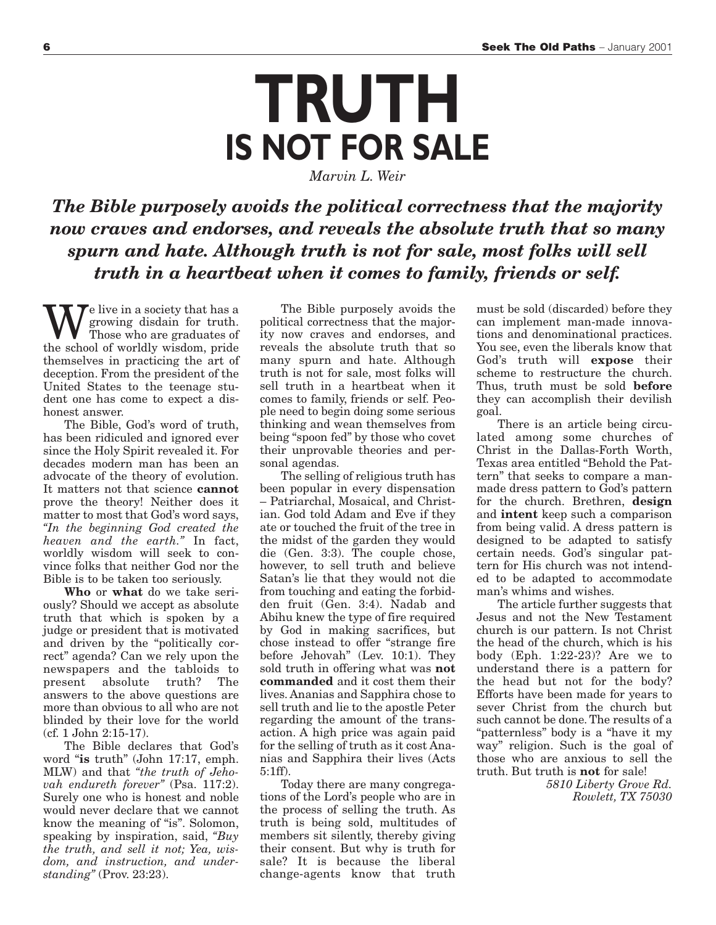*Marvin L. Weir*

### *The Bible purposely avoids the political correctness that the majority now craves and endorses, and reveals the absolute truth that so many spurn and hate. Although truth is not for sale, most folks will sell truth in a heartbeat when it comes to family, friends or self.*

 $\sum e$  live in a society that has a growing disdain for truth. Those who are graduates of the school of worldly wisdom, pride themselves in practicing the art of deception. From the president of the United States to the teenage student one has come to expect a dishonest answer.

The Bible, God's word of truth, has been ridiculed and ignored ever since the Holy Spirit revealed it. For decades modern man has been an advocate of the theory of evolution. It matters not that science **cannot** prove the theory! Neither does it matter to most that God's word says, *"In the beginning God created the heaven and the earth."* In fact, worldly wisdom will seek to convince folks that neither God nor the Bible is to be taken too seriously.

**Who** or **what** do we take seriously? Should we accept as absolute truth that which is spoken by a judge or president that is motivated and driven by the "politically correct" agenda? Can we rely upon the newspapers and the tabloids to<br>present absolute truth? The absolute truth? The answers to the above questions are more than obvious to all who are not blinded by their love for the world (cf. 1 John 2:15-17).

The Bible declares that God's word "**is** truth" (John 17:17, emph. MLW) and that *"the truth of Jehovah endureth forever"* (Psa. 117:2). Surely one who is honest and noble would never declare that we cannot know the meaning of "is". Solomon, speaking by inspiration, said, *"Buy the truth, and sell it not; Yea, wisdom, and instruction, and understanding"* (Prov. 23:23).

The Bible purposely avoids the political correctness that the majority now craves and endorses, and reveals the absolute truth that so many spurn and hate. Although truth is not for sale, most folks will sell truth in a heartbeat when it comes to family, friends or self. People need to begin doing some serious thinking and wean themselves from being "spoon fed" by those who covet their unprovable theories and personal agendas.

The selling of religious truth has been popular in every dispensation – Patriarchal, Mosaical, and Christian. God told Adam and Eve if they ate or touched the fruit of the tree in the midst of the garden they would die (Gen. 3:3). The couple chose, however, to sell truth and believe Satan's lie that they would not die from touching and eating the forbidden fruit (Gen. 3:4). Nadab and Abihu knew the type of fire required by God in making sacrifices, but chose instead to offer "strange fire before Jehovah" (Lev. 10:1). They sold truth in offering what was **not commanded** and it cost them their lives. Ananias and Sapphira chose to sell truth and lie to the apostle Peter regarding the amount of the transaction. A high price was again paid for the selling of truth as it cost Ananias and Sapphira their lives (Acts 5:1ff).

Today there are many congregations of the Lord's people who are in the process of selling the truth. As truth is being sold, multitudes of members sit silently, thereby giving their consent. But why is truth for sale? It is because the liberal change-agents know that truth

must be sold (discarded) before they can implement man-made innovations and denominational practices. You see, even the liberals know that God's truth will **expose** their scheme to restructure the church. Thus, truth must be sold **before** they can accomplish their devilish goal.

There is an article being circulated among some churches of Christ in the Dallas-Forth Worth, Texas area entitled "Behold the Pattern" that seeks to compare a manmade dress pattern to God's pattern for the church. Brethren, **design** and **intent** keep such a comparison from being valid. A dress pattern is designed to be adapted to satisfy certain needs. God's singular pattern for His church was not intended to be adapted to accommodate man's whims and wishes.

The article further suggests that Jesus and not the New Testament church is our pattern. Is not Christ the head of the church, which is his body (Eph. 1:22-23)? Are we to understand there is a pattern for the head but not for the body? Efforts have been made for years to sever Christ from the church but such cannot be done. The results of a "patternless" body is a "have it my way" religion. Such is the goal of those who are anxious to sell the truth. But truth is **not** for sale!

> *5810 Liberty Grove Rd. Rowlett, TX 75030*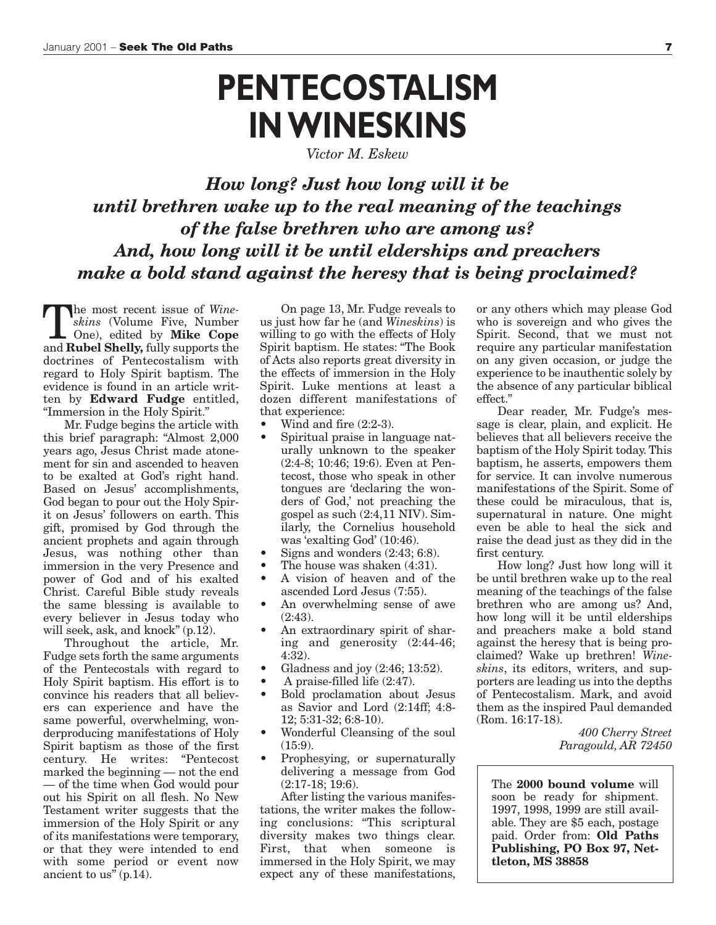## **PENTECOSTALISM IN WINESKINS**

*Victor M. Eskew*

*How long? Just how long will it be until brethren wake up to the real meaning of the teachings of the false brethren who are among us? And, how long will it be until elderships and preachers make a bold stand against the heresy that is being proclaimed?*

The most recent issue of *Wineskins* (Volume Five, Number One), edited by **Mike Cope** and **Rubel Shelly,** fully supports the doctrines of Pentecostalism with regard to Holy Spirit baptism. The evidence is found in an article written by **Edward Fudge** entitled, "Immersion in the Holy Spirit."

Mr. Fudge begins the article with this brief paragraph: "Almost 2,000 years ago, Jesus Christ made atonement for sin and ascended to heaven to be exalted at God's right hand. Based on Jesus' accomplishments, God began to pour out the Holy Spirit on Jesus' followers on earth. This gift, promised by God through the ancient prophets and again through Jesus, was nothing other than immersion in the very Presence and power of God and of his exalted Christ. Careful Bible study reveals the same blessing is available to every believer in Jesus today who will seek, ask, and knock" (p.12).

Throughout the article, Mr. Fudge sets forth the same arguments of the Pentecostals with regard to Holy Spirit baptism. His effort is to convince his readers that all believers can experience and have the same powerful, overwhelming, wonderproducing manifestations of Holy Spirit baptism as those of the first century. He writes: "Pentecost marked the beginning — not the end — of the time when God would pour out his Spirit on all flesh. No New Testament writer suggests that the immersion of the Holy Spirit or any of its manifestations were temporary, or that they were intended to end with some period or event now ancient to us<sup> $\hat{v}$ </sup> (p.14).

On page 13, Mr. Fudge reveals to us just how far he (and *Wineskins*) is willing to go with the effects of Holy Spirit baptism. He states: "The Book of Acts also reports great diversity in the effects of immersion in the Holy Spirit. Luke mentions at least a dozen different manifestations of that experience:

- Wind and fire  $(2:2-3)$ .
- Spiritual praise in language naturally unknown to the speaker (2:4-8; 10:46; 19:6). Even at Pentecost, those who speak in other tongues are 'declaring the wonders of God,' not preaching the gospel as such (2:4,11 NIV). Similarly, the Cornelius household was 'exalting God' (10:46).
- Signs and wonders  $(2:43; 6:8)$ .
- The house was shaken (4:31).
- A vision of heaven and of the ascended Lord Jesus (7:55).
- An overwhelming sense of awe (2:43).
- An extraordinary spirit of sharing and generosity (2:44-46; 4:32).
- Gladness and joy (2:46; 13:52).
- A praise-filled life (2:47).
- Bold proclamation about Jesus as Savior and Lord (2:14ff; 4:8- 12; 5:31-32; 6:8-10).
- Wonderful Cleansing of the soul  $(15:9)$ .
- Prophesying, or supernaturally delivering a message from God (2:17-18; 19:6).

After listing the various manifestations, the writer makes the following conclusions: "This scriptural diversity makes two things clear. First, that when someone is immersed in the Holy Spirit, we may expect any of these manifestations, or any others which may please God who is sovereign and who gives the Spirit. Second, that we must not require any particular manifestation on any given occasion, or judge the experience to be inauthentic solely by the absence of any particular biblical effect."

Dear reader, Mr. Fudge's message is clear, plain, and explicit. He believes that all believers receive the baptism of the Holy Spirit today. This baptism, he asserts, empowers them for service. It can involve numerous manifestations of the Spirit. Some of these could be miraculous, that is, supernatural in nature. One might even be able to heal the sick and raise the dead just as they did in the first century.

How long? Just how long will it be until brethren wake up to the real meaning of the teachings of the false brethren who are among us? And, how long will it be until elderships and preachers make a bold stand against the heresy that is being proclaimed? Wake up brethren! *Wineskins*, its editors, writers, and supporters are leading us into the depths of Pentecostalism. Mark, and avoid them as the inspired Paul demanded (Rom. 16:17-18).

> *400 Cherry Street Paragould, AR 72450*

The **2000 bound volume** will soon be ready for shipment. 1997, 1998, 1999 are still available. They are \$5 each, postage paid. Order from: **Old Paths Publishing, PO Box 97, Nettleton, MS 38858**